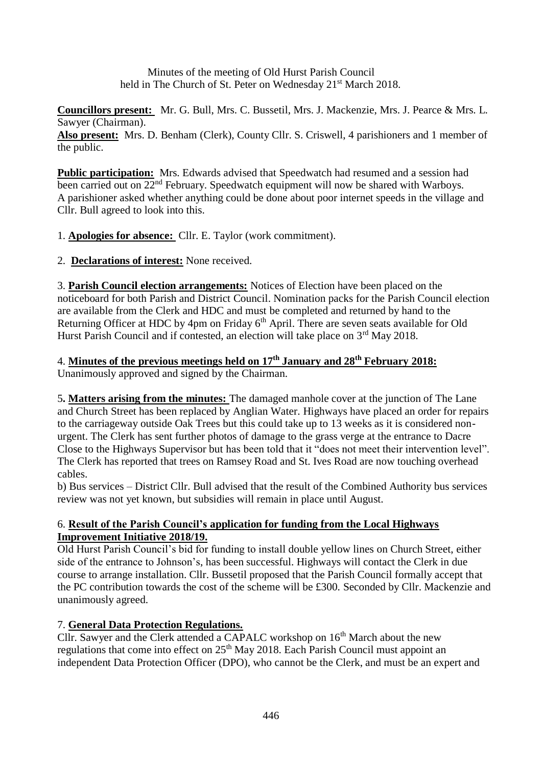Minutes of the meeting of Old Hurst Parish Council held in The Church of St. Peter on Wednesday 21<sup>st</sup> March 2018.

**Councillors present:** Mr. G. Bull, Mrs. C. Bussetil, Mrs. J. Mackenzie, Mrs. J. Pearce & Mrs. L. Sawyer (Chairman).

**Also present:** Mrs. D. Benham (Clerk), County Cllr. S. Criswell, 4 parishioners and 1 member of the public.

Public participation: Mrs. Edwards advised that Speedwatch had resumed and a session had been carried out on  $22<sup>nd</sup>$  February. Speedwatch equipment will now be shared with Warboys. A parishioner asked whether anything could be done about poor internet speeds in the village and Cllr. Bull agreed to look into this.

1. **Apologies for absence:** Cllr. E. Taylor (work commitment).

2. **Declarations of interest:** None received.

3. **Parish Council election arrangements:** Notices of Election have been placed on the noticeboard for both Parish and District Council. Nomination packs for the Parish Council election are available from the Clerk and HDC and must be completed and returned by hand to the Returning Officer at HDC by 4pm on Friday  $6<sup>th</sup>$  April. There are seven seats available for Old Hurst Parish Council and if contested, an election will take place on  $3<sup>rd</sup>$  May 2018.

#### 4. **Minutes of the previous meetings held on 17 th January and 28th February 2018:** Unanimously approved and signed by the Chairman.

5**. Matters arising from the minutes:** The damaged manhole cover at the junction of The Lane and Church Street has been replaced by Anglian Water. Highways have placed an order for repairs to the carriageway outside Oak Trees but this could take up to 13 weeks as it is considered nonurgent. The Clerk has sent further photos of damage to the grass verge at the entrance to Dacre Close to the Highways Supervisor but has been told that it "does not meet their intervention level". The Clerk has reported that trees on Ramsey Road and St. Ives Road are now touching overhead cables.

b) Bus services – District Cllr. Bull advised that the result of the Combined Authority bus services review was not yet known, but subsidies will remain in place until August.

## 6. **Result of the Parish Council's application for funding from the Local Highways Improvement Initiative 2018/19.**

Old Hurst Parish Council's bid for funding to install double yellow lines on Church Street, either side of the entrance to Johnson's, has been successful. Highways will contact the Clerk in due course to arrange installation. Cllr. Bussetil proposed that the Parish Council formally accept that the PC contribution towards the cost of the scheme will be £300. Seconded by Cllr. Mackenzie and unanimously agreed.

# 7. **General Data Protection Regulations.**

Cllr. Sawyer and the Clerk attended a CAPALC workshop on  $16<sup>th</sup>$  March about the new regulations that come into effect on  $25<sup>th</sup>$  May 2018. Each Parish Council must appoint an independent Data Protection Officer (DPO), who cannot be the Clerk, and must be an expert and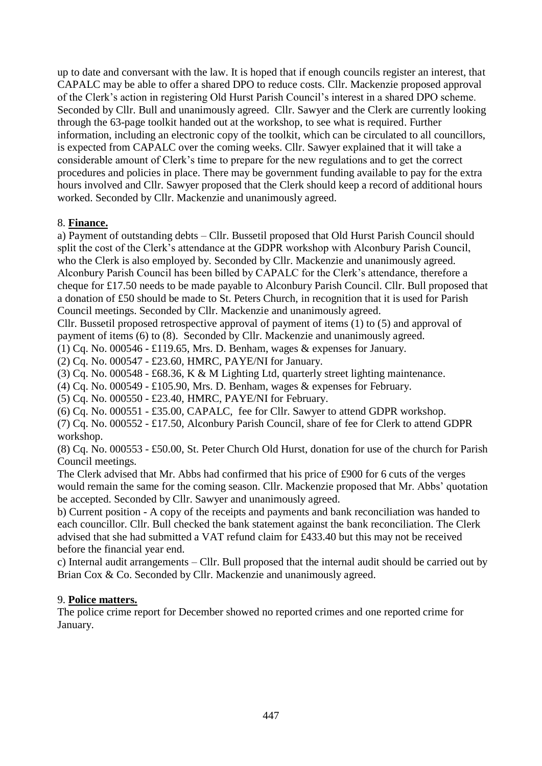up to date and conversant with the law. It is hoped that if enough councils register an interest, that CAPALC may be able to offer a shared DPO to reduce costs. Cllr. Mackenzie proposed approval of the Clerk's action in registering Old Hurst Parish Council's interest in a shared DPO scheme. Seconded by Cllr. Bull and unanimously agreed. Cllr. Sawyer and the Clerk are currently looking through the 63-page toolkit handed out at the workshop, to see what is required. Further information, including an electronic copy of the toolkit, which can be circulated to all councillors, is expected from CAPALC over the coming weeks. Cllr. Sawyer explained that it will take a considerable amount of Clerk's time to prepare for the new regulations and to get the correct procedures and policies in place. There may be government funding available to pay for the extra hours involved and Cllr. Sawyer proposed that the Clerk should keep a record of additional hours worked. Seconded by Cllr. Mackenzie and unanimously agreed.

## 8. **Finance.**

a) Payment of outstanding debts – Cllr. Bussetil proposed that Old Hurst Parish Council should split the cost of the Clerk's attendance at the GDPR workshop with Alconbury Parish Council, who the Clerk is also employed by. Seconded by Cllr. Mackenzie and unanimously agreed. Alconbury Parish Council has been billed by CAPALC for the Clerk's attendance, therefore a cheque for £17.50 needs to be made payable to Alconbury Parish Council. Cllr. Bull proposed that a donation of £50 should be made to St. Peters Church, in recognition that it is used for Parish Council meetings. Seconded by Cllr. Mackenzie and unanimously agreed.

Cllr. Bussetil proposed retrospective approval of payment of items (1) to (5) and approval of payment of items (6) to (8). Seconded by Cllr. Mackenzie and unanimously agreed.

(1) Cq. No. 000546 - £119.65, Mrs. D. Benham, wages & expenses for January.

(2) Cq. No. 000547 - £23.60, HMRC, PAYE/NI for January.

(3) Cq. No. 000548 - £68.36, K & M Lighting Ltd, quarterly street lighting maintenance.

(4) Cq. No. 000549 - £105.90, Mrs. D. Benham, wages & expenses for February.

(5) Cq. No. 000550 - £23.40, HMRC, PAYE/NI for February.

(6) Cq. No. 000551 - £35.00, CAPALC, fee for Cllr. Sawyer to attend GDPR workshop.

(7) Cq. No. 000552 - £17.50, Alconbury Parish Council, share of fee for Clerk to attend GDPR workshop.

(8) Cq. No. 000553 - £50.00, St. Peter Church Old Hurst, donation for use of the church for Parish Council meetings.

The Clerk advised that Mr. Abbs had confirmed that his price of £900 for 6 cuts of the verges would remain the same for the coming season. Cllr. Mackenzie proposed that Mr. Abbs' quotation be accepted. Seconded by Cllr. Sawyer and unanimously agreed.

b) Current position - A copy of the receipts and payments and bank reconciliation was handed to each councillor. Cllr. Bull checked the bank statement against the bank reconciliation. The Clerk advised that she had submitted a VAT refund claim for £433.40 but this may not be received before the financial year end.

c) Internal audit arrangements – Cllr. Bull proposed that the internal audit should be carried out by Brian Cox & Co. Seconded by Cllr. Mackenzie and unanimously agreed.

## 9. **Police matters.**

The police crime report for December showed no reported crimes and one reported crime for January.